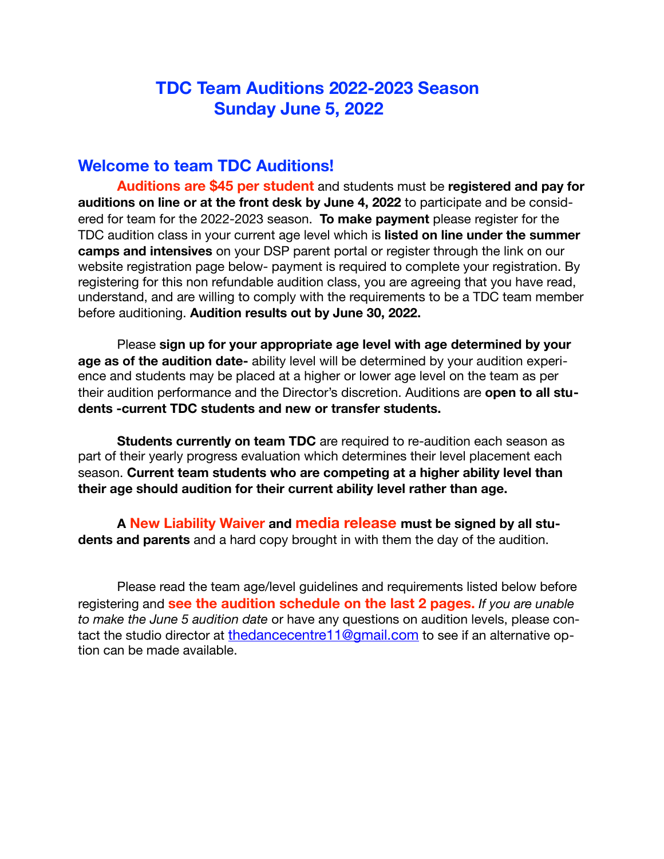### **TDC Team Auditions 2022-2023 Season Sunday June 5, 2022**

#### **Welcome to team TDC Auditions!**

**Auditions are \$45 per student** and students must be **registered and pay for auditions on line or at the front desk by June 4, 2022** to participate and be considered for team for the 2022-2023 season. **To make payment** please register for the TDC audition class in your current age level which is **listed on line under the summer camps and intensives** on your DSP parent portal or register through the link on our website registration page below- payment is required to complete your registration. By registering for this non refundable audition class, you are agreeing that you have read, understand, and are willing to comply with the requirements to be a TDC team member before auditioning. **Audition results out by June 30, 2022.**

Please **sign up for your appropriate age level with age determined by your age as of the audition date-** ability level will be determined by your audition experience and students may be placed at a higher or lower age level on the team as per their audition performance and the Director's discretion. Auditions are **open to all students -current TDC students and new or transfer students.** 

**Students currently on team TDC** are required to re-audition each season as part of their yearly progress evaluation which determines their level placement each season. **Current team students who are competing at a higher ability level than their age should audition for their current ability level rather than age.** 

**A New Liability Waiver and media release must be signed by all students and parents** and a hard copy brought in with them the day of the audition.

Please read the team age/level guidelines and requirements listed below before registering and **see the audition schedule on the last 2 pages.** *If you are unable to make the June 5 audition date* or have any questions on audition levels, please contact the studio director at [thedancecentre11@gmail.com](mailto:thedancecentre11@gmail.com) to see if an alternative option can be made available.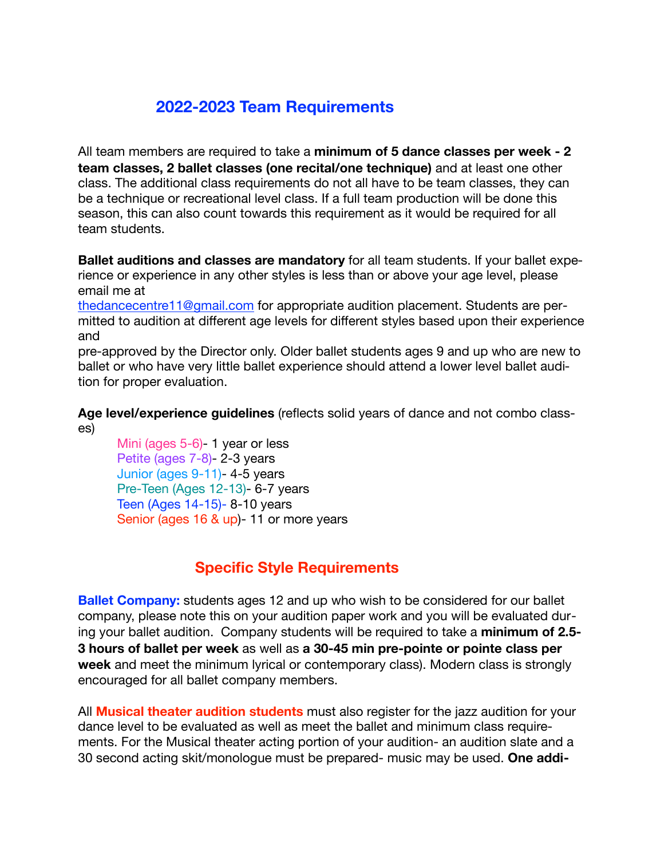### **2022-2023 Team Requirements**

All team members are required to take a **minimum of 5 dance classes per week - 2 team classes, 2 ballet classes (one recital/one technique)** and at least one other class. The additional class requirements do not all have to be team classes, they can be a technique or recreational level class. If a full team production will be done this season, this can also count towards this requirement as it would be required for all team students.

**Ballet auditions and classes are mandatory** for all team students. If your ballet experience or experience in any other styles is less than or above your age level, please email me at

[thedancecentre11@gmail.com](mailto:thedancecentre11@gmail.com) for appropriate audition placement. Students are permitted to audition at different age levels for different styles based upon their experience and

pre-approved by the Director only. Older ballet students ages 9 and up who are new to ballet or who have very little ballet experience should attend a lower level ballet audition for proper evaluation.

**Age level/experience guidelines** (reflects solid years of dance and not combo classes)

Mini (ages 5-6)- 1 year or less Petite (ages 7-8)- 2-3 years Junior (ages 9-11)- 4-5 years Pre-Teen (Ages 12-13)- 6-7 years Teen (Ages 14-15)- 8-10 years Senior (ages 16 & up)- 11 or more years

#### **Specific Style Requirements**

**Ballet Company:** students ages 12 and up who wish to be considered for our ballet company, please note this on your audition paper work and you will be evaluated during your ballet audition. Company students will be required to take a **minimum of 2.5- 3 hours of ballet per week** as well as **a 30-45 min pre-pointe or pointe class per week** and meet the minimum lyrical or contemporary class). Modern class is strongly encouraged for all ballet company members.

All **Musical theater audition students** must also register for the jazz audition for your dance level to be evaluated as well as meet the ballet and minimum class requirements. For the Musical theater acting portion of your audition- an audition slate and a 30 second acting skit/monologue must be prepared- music may be used. **One addi-**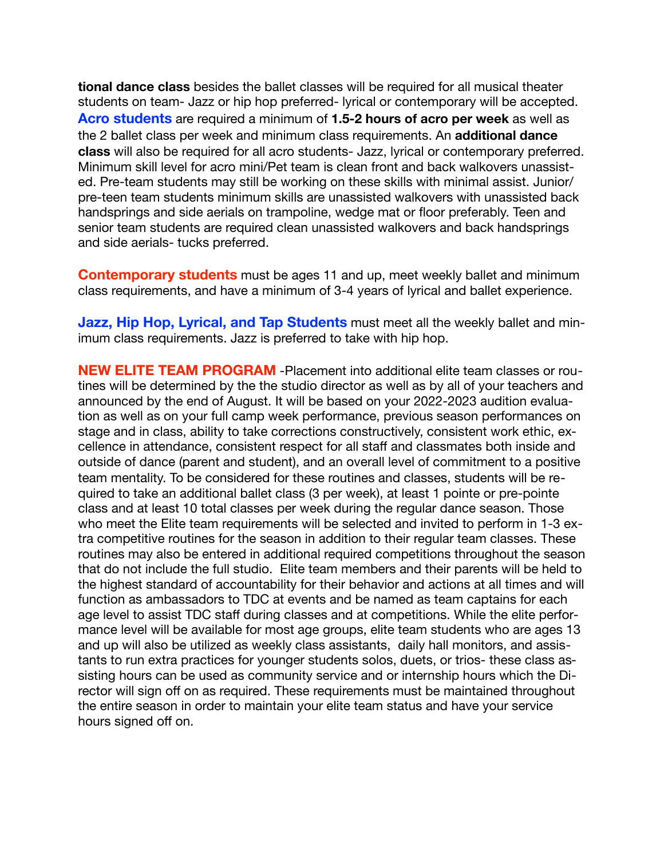**tional dance class** besides the ballet classes will be required for all musical theater students on team- Jazz or hip hop preferred- lyrical or contemporary will be accepted. **Acro students** are required a minimum of **1.5-2 hours of acro per week** as well as the 2 ballet class per week and minimum class requirements. An **additional dance class** will also be required for all acro students- Jazz, lyrical or contemporary preferred. Minimum skill level for acro mini/Pet team is clean front and back walkovers unassisted. Pre-team students may still be working on these skills with minimal assist. Junior/ pre-teen team students minimum skills are unassisted walkovers with unassisted back handsprings and side aerials on trampoline, wedge mat or floor preferably. Teen and senior team students are required clean unassisted walkovers and back handsprings and side aerials- tucks preferred.

**Contemporary students** must be ages 11 and up, meet weekly ballet and minimum class requirements, and have a minimum of 3-4 years of lyrical and ballet experience.

**Jazz, Hip Hop, Lyrical, and Tap Students** must meet all the weekly ballet and minimum class requirements. Jazz is preferred to take with hip hop.

**NEW ELITE TEAM PROGRAM** -Placement into additional elite team classes or routines will be determined by the the studio director as well as by all of your teachers and announced by the end of August. It will be based on your 2022-2023 audition evaluation as well as on your full camp week performance, previous season performances on stage and in class, ability to take corrections constructively, consistent work ethic, excellence in attendance, consistent respect for all staff and classmates both inside and outside of dance (parent and student), and an overall level of commitment to a positive team mentality. To be considered for these routines and classes, students will be required to take an additional ballet class (3 per week), at least 1 pointe or pre-pointe class and at least 10 total classes per week during the regular dance season. Those who meet the Elite team requirements will be selected and invited to perform in 1-3 extra competitive routines for the season in addition to their regular team classes. These routines may also be entered in additional required competitions throughout the season that do not include the full studio. Elite team members and their parents will be held to the highest standard of accountability for their behavior and actions at all times and will function as ambassadors to TDC at events and be named as team captains for each age level to assist TDC staff during classes and at competitions. While the elite performance level will be available for most age groups, elite team students who are ages 13 and up will also be utilized as weekly class assistants, daily hall monitors, and assistants to run extra practices for younger students solos, duets, or trios- these class assisting hours can be used as community service and or internship hours which the Director will sign off on as required. These requirements must be maintained throughout the entire season in order to maintain your elite team status and have your service hours signed off on.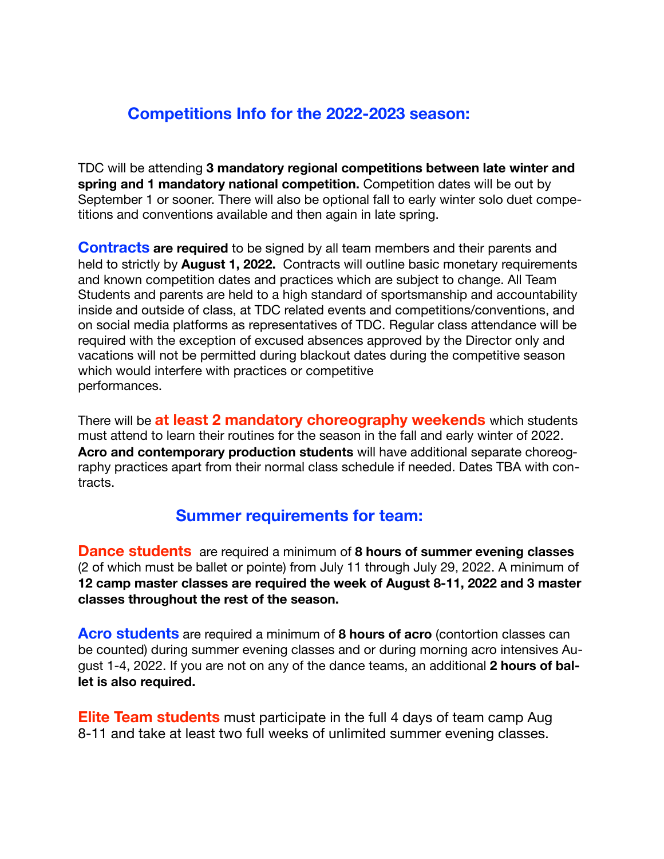### **Competitions Info for the 2022-2023 season:**

TDC will be attending **3 mandatory regional competitions between late winter and spring and 1 mandatory national competition.** Competition dates will be out by September 1 or sooner. There will also be optional fall to early winter solo duet competitions and conventions available and then again in late spring.

**Contracts are required** to be signed by all team members and their parents and held to strictly by **August 1, 2022.** Contracts will outline basic monetary requirements and known competition dates and practices which are subject to change. All Team Students and parents are held to a high standard of sportsmanship and accountability inside and outside of class, at TDC related events and competitions/conventions, and on social media platforms as representatives of TDC. Regular class attendance will be required with the exception of excused absences approved by the Director only and vacations will not be permitted during blackout dates during the competitive season which would interfere with practices or competitive performances.

There will be **at least 2 mandatory choreography weekends** which students must attend to learn their routines for the season in the fall and early winter of 2022. **Acro and contemporary production students** will have additional separate choreography practices apart from their normal class schedule if needed. Dates TBA with contracts.

#### **Summer requirements for team:**

**Dance students** are required a minimum of **8 hours of summer evening classes**  (2 of which must be ballet or pointe) from July 11 through July 29, 2022. A minimum of **12 camp master classes are required the week of August 8-11, 2022 and 3 master classes throughout the rest of the season.** 

**Acro students** are required a minimum of **8 hours of acro** (contortion classes can be counted) during summer evening classes and or during morning acro intensives August 1-4, 2022. If you are not on any of the dance teams, an additional **2 hours of ballet is also required.** 

**Elite Team students** must participate in the full 4 days of team camp Aug 8-11 and take at least two full weeks of unlimited summer evening classes.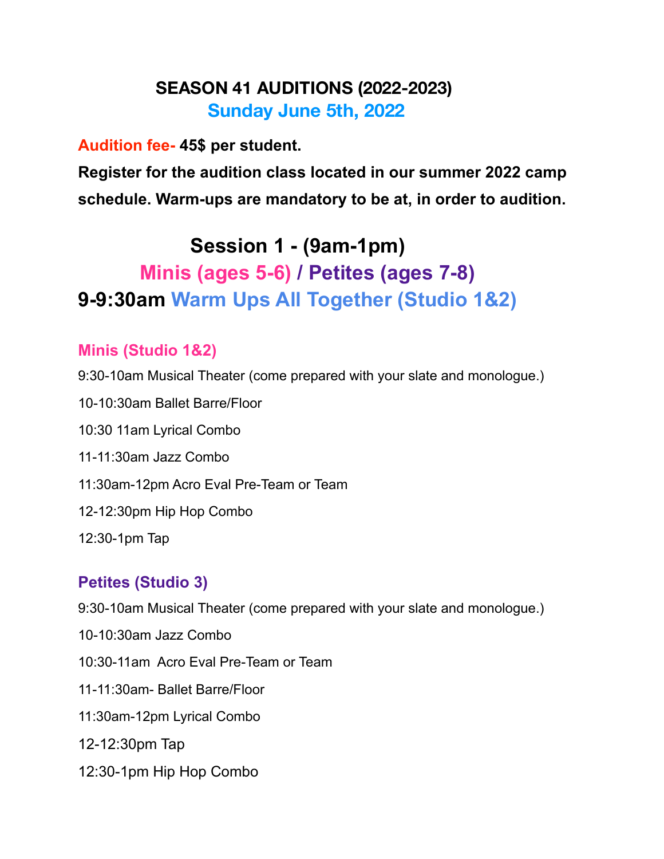## **SEASON 41 AUDITIONS (2022-2023) Sunday June 5th, 2022**

### **Audition fee- 45\$ per student.**

**Register for the audition class located in our summer 2022 camp schedule. Warm-ups are mandatory to be at, in order to audition.** 

## **Session 1 - (9am-1pm)**

## **Minis (ages 5-6) / Petites (ages 7-8) 9-9:30am Warm Ups All Together (Studio 1&2)**

### **Minis (Studio 1&2)**

- 9:30-10am Musical Theater (come prepared with your slate and monologue.)
- 10-10:30am Ballet Barre/Floor
- 10:30 11am Lyrical Combo
- 11-11:30am Jazz Combo
- 11:30am-12pm Acro Eval Pre-Team or Team
- 12-12:30pm Hip Hop Combo
- 12:30-1pm Tap

### **Petites (Studio 3)**

- 9:30-10am Musical Theater (come prepared with your slate and monologue.)
- 10-10:30am Jazz Combo
- 10:30-11am Acro Eval Pre-Team or Team
- 11-11:30am- Ballet Barre/Floor
- 11:30am-12pm Lyrical Combo
- 12-12:30pm Tap
- 12:30-1pm Hip Hop Combo